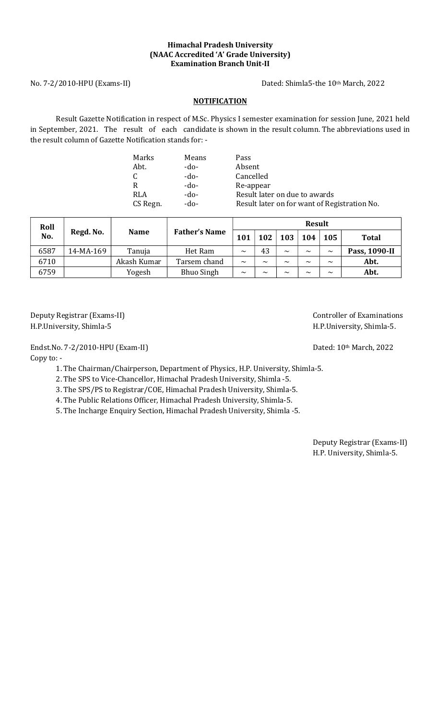## Himachal Pradesh University (NAAC Accredited 'A' Grade University) Examination Branch Unit-II

No. 7-2/2010-HPU (Exams-II) Dated: Shimla5-the 10th March, 2022

# **NOTIFICATION**

Result Gazette Notification in respect of M.Sc. Physics I semester examination for session June, 2021 held in September, 2021. The result of each candidate is shown in the result column. The abbreviations used in the result column of Gazette Notification stands for: -

| Marks    | Means | Pass                                         |
|----------|-------|----------------------------------------------|
| Abt.     | -do-  | Absent                                       |
| C.       | -do-  | Cancelled                                    |
| R        | -do-  | Re-appear                                    |
| RLA      | -do-  | Result later on due to awards                |
| CS Regn. | -do-  | Result later on for want of Registration No. |

| Roll | Regd. No. | <b>Name</b> | <b>Father's Name</b> | <b>Result</b> |                       |                       |        |                       |               |  |
|------|-----------|-------------|----------------------|---------------|-----------------------|-----------------------|--------|-----------------------|---------------|--|
| No.  |           |             |                      | 101           | 102                   | 103                   | 104    | 105                   | <b>Total</b>  |  |
| 6587 | 14-MA-169 | Tanuja      | Het Ram              | $\sim$        | 43                    | $\sim$                | $\sim$ | $\sim$                | Pass, 1090-II |  |
| 6710 |           | Akash Kumar | Tarsem chand         | $\sim$        | $\tilde{\phantom{a}}$ | $\tilde{\phantom{a}}$ | $\sim$ | $\tilde{\phantom{a}}$ | Abt.          |  |
| 6759 |           | Yogesh      | <b>Bhuo Singh</b>    | $\sim$        | $\sim$                | $\sim$                | $\sim$ | $\sim$                | Abt.          |  |

Deputy Registrar (Exams-II) and the controller of Examinations controller of Examinations H.P.University, Shimla-5 H.P.University, Shimla-5.

Endst.No. 7-2/2010-HPU (Exam-II) Dated: 10<sup>th</sup> March, 2022

Copy to: -

1. The Chairman/Chairperson, Department of Physics, H.P. University, Shimla-5.

2. The SPS to Vice-Chancellor, Himachal Pradesh University, Shimla -5.

3. The SPS/PS to Registrar/COE, Himachal Pradesh University, Shimla-5.

4. The Public Relations Officer, Himachal Pradesh University, Shimla-5.

5. The Incharge Enquiry Section, Himachal Pradesh University, Shimla -5.

Deputy Registrar (Exams-II) H.P. University, Shimla-5.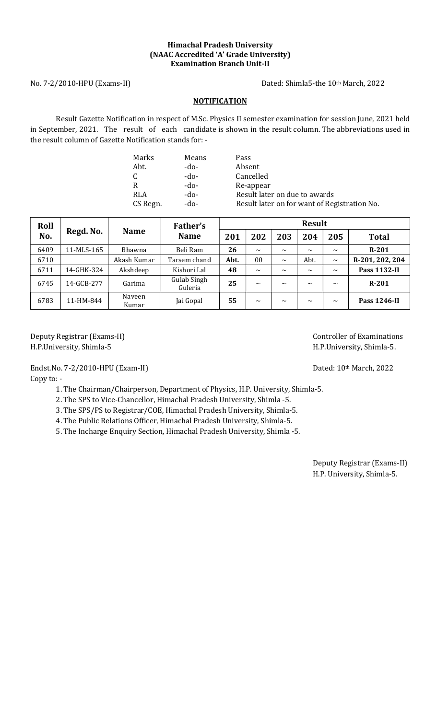## Himachal Pradesh University (NAAC Accredited 'A' Grade University) Examination Branch Unit-II

No. 7-2/2010-HPU (Exams-II) Dated: Shimla5-the 10th March, 2022

# **NOTIFICATION**

Result Gazette Notification in respect of M.Sc. Physics II semester examination for session June, 2021 held in September, 2021. The result of each candidate is shown in the result column. The abbreviations used in the result column of Gazette Notification stands for: -

| Marks    | Means  | Pass                                         |
|----------|--------|----------------------------------------------|
| Abt.     | -do-   | Absent                                       |
| C        | -do-   | Cancelled                                    |
| R        | -do-   | Re-appear                                    |
| RLA      | $-do-$ | Result later on due to awards                |
| CS Regn. | -do-   | Result later on for want of Registration No. |

| Roll             |             |                 | Father's                      | <b>Result</b> |                |                       |                       |                       |                     |  |  |
|------------------|-------------|-----------------|-------------------------------|---------------|----------------|-----------------------|-----------------------|-----------------------|---------------------|--|--|
| Regd. No.<br>No. | <b>Name</b> | <b>Name</b>     | 201                           | 202           | 203            | 204                   | 205                   | <b>Total</b>          |                     |  |  |
| 6409             | 11-MLS-165  | Bhawna          | Beli Ram                      | 26            | $\sim$         | $\tilde{\phantom{a}}$ | $\sim$                | $\sim$                | $R-201$             |  |  |
| 6710             |             | Akash Kumar     | Tarsem chand                  | Abt.          | 0 <sub>0</sub> | $\tilde{\phantom{a}}$ | Abt.                  | $\sim$                | R-201, 202, 204     |  |  |
| 6711             | 14-GHK-324  | Akshdeep        | Kishori Lal                   | 48            | $\sim$         | $\tilde{\phantom{a}}$ | $\tilde{\phantom{a}}$ | $\sim$                | <b>Pass 1132-II</b> |  |  |
| 6745             | 14-GCB-277  | Garima          | <b>Gulab Singh</b><br>Guleria | 25            | $\sim$         | $\tilde{\phantom{a}}$ | $\sim$                | $\tilde{\phantom{a}}$ | $R-201$             |  |  |
| 6783             | 11-HM-844   | Naveen<br>Kumar | Jai Gopal                     | 55            | $\sim$         | $\sim$                | $\tilde{\phantom{a}}$ | $\tilde{\phantom{a}}$ | <b>Pass 1246-II</b> |  |  |

Deputy Registrar (Exams-II) and the controller of Examinations controller of Examinations H.P.University, Shimla-5 H.P.University, Shimla-5.

Endst.No. 7-2/2010-HPU (Exam-II) Dated: 10<sup>th</sup> March, 2022 Copy to: -

1. The Chairman/Chairperson, Department of Physics, H.P. University, Shimla-5.

2. The SPS to Vice-Chancellor, Himachal Pradesh University, Shimla -5.

3. The SPS/PS to Registrar/COE, Himachal Pradesh University, Shimla-5.

4. The Public Relations Officer, Himachal Pradesh University, Shimla-5.

5. The Incharge Enquiry Section, Himachal Pradesh University, Shimla -5.

Deputy Registrar (Exams-II) H.P. University, Shimla-5.